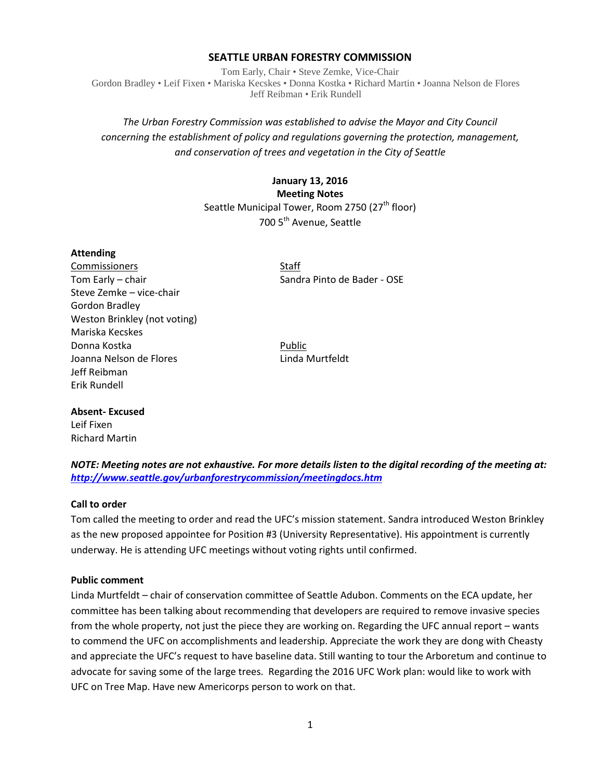## **SEATTLE URBAN FORESTRY COMMISSION**

Tom Early, Chair • Steve Zemke, Vice-Chair Gordon Bradley • Leif Fixen • Mariska Kecskes • Donna Kostka • Richard Martin • Joanna Nelson de Flores Jeff Reibman • Erik Rundell

# *The Urban Forestry Commission was established to advise the Mayor and City Council concerning the establishment of policy and regulations governing the protection, management, and conservation of trees and vegetation in the City of Seattle*

# **January 13, 2016 Meeting Notes** Seattle Municipal Tower, Room 2750 (27<sup>th</sup> floor) 700 5<sup>th</sup> Avenue, Seattle

### **Attending**

Commissioners Staff Tom Early – chair Sandra Pinto de Bader - OSE Steve Zemke – vice-chair Gordon Bradley Weston Brinkley (not voting) Mariska Kecskes Donna Kostka Public Joanna Nelson de Flores **Linda Murtfeldt** Jeff Reibman Erik Rundell

# **Absent- Excused** Leif Fixen Richard Martin

*NOTE: Meeting notes are not exhaustive. For more details listen to the digital recording of the meeting at: <http://www.seattle.gov/urbanforestrycommission/meetingdocs.htm>*

## **Call to order**

Tom called the meeting to order and read the UFC's mission statement. Sandra introduced Weston Brinkley as the new proposed appointee for Position #3 (University Representative). His appointment is currently underway. He is attending UFC meetings without voting rights until confirmed.

#### **Public comment**

Linda Murtfeldt – chair of conservation committee of Seattle Adubon. Comments on the ECA update, her committee has been talking about recommending that developers are required to remove invasive species from the whole property, not just the piece they are working on. Regarding the UFC annual report – wants to commend the UFC on accomplishments and leadership. Appreciate the work they are dong with Cheasty and appreciate the UFC's request to have baseline data. Still wanting to tour the Arboretum and continue to advocate for saving some of the large trees. Regarding the 2016 UFC Work plan: would like to work with UFC on Tree Map. Have new Americorps person to work on that.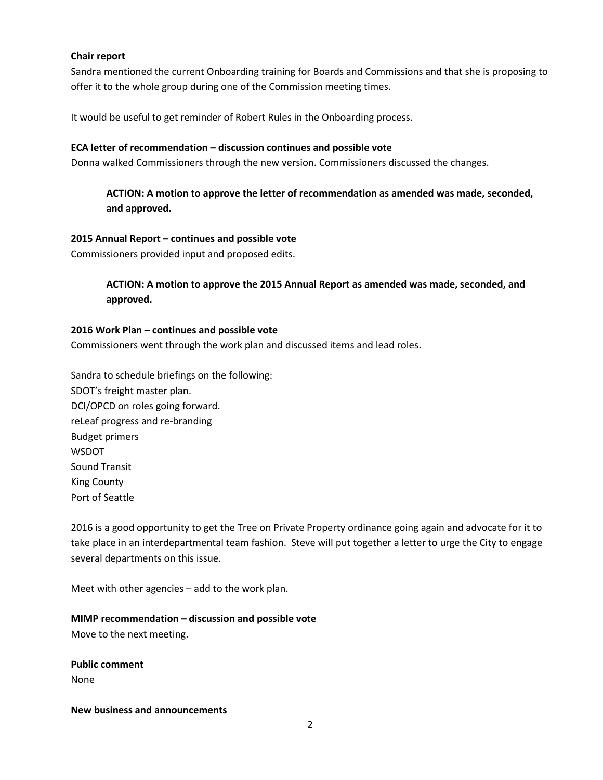### **Chair report**

Sandra mentioned the current Onboarding training for Boards and Commissions and that she is proposing to offer it to the whole group during one of the Commission meeting times.

It would be useful to get reminder of Robert Rules in the Onboarding process.

#### **ECA letter of recommendation – discussion continues and possible vote**

Donna walked Commissioners through the new version. Commissioners discussed the changes.

**ACTION: A motion to approve the letter of recommendation as amended was made, seconded, and approved.**

### **2015 Annual Report – continues and possible vote**

Commissioners provided input and proposed edits.

## **ACTION: A motion to approve the 2015 Annual Report as amended was made, seconded, and approved.**

#### **2016 Work Plan – continues and possible vote**

Commissioners went through the work plan and discussed items and lead roles.

Sandra to schedule briefings on the following: SDOT's freight master plan. DCI/OPCD on roles going forward. reLeaf progress and re-branding Budget primers WSDOT Sound Transit King County Port of Seattle

2016 is a good opportunity to get the Tree on Private Property ordinance going again and advocate for it to take place in an interdepartmental team fashion. Steve will put together a letter to urge the City to engage several departments on this issue.

Meet with other agencies – add to the work plan.

## **MIMP recommendation – discussion and possible vote**

Move to the next meeting.

**Public comment** None

**New business and announcements**